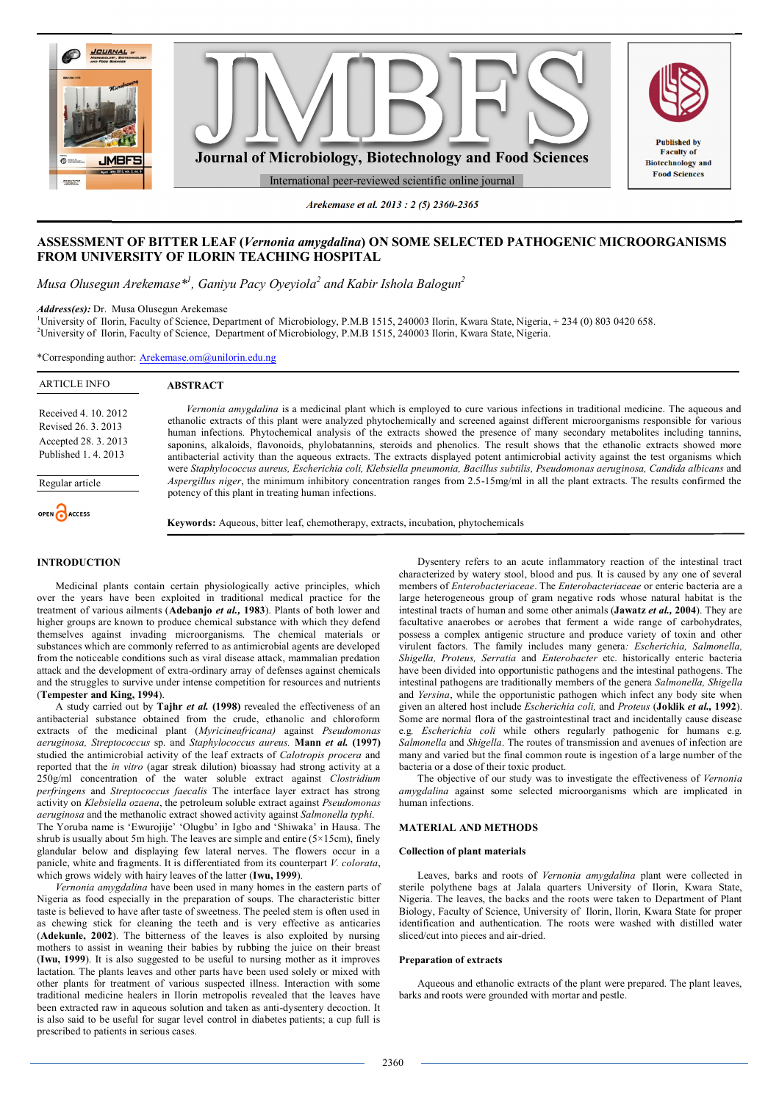

*Arekemase et al. 2013 : 2 (5) 2360-2365*

# **ASSESSMENT OF BITTER LEAF (***Vernonia amygdalina***) ON SOME SELECTED PATHOGENIC MICROORGANISMS FROM UNIVERSITY OF ILORIN TEACHING HOSPITAL**

*Musa Olusegun Arekemase\*<sup>1</sup> , Ganiyu Pacy Oyeyiola<sup>2</sup> and Kabir Ishola Balogun<sup>2</sup>*

*Address(es):* Dr. Musa Olusegun Arekemase

1University of Ilorin, Faculty of Science, Department of Microbiology, P.M.B 1515, 240003 Ilorin, Kwara State, Nigeria, + 234 (0) 803 0420 658. <sup>2</sup>University of Ilorin, Faculty of Science, Department of Microbiology, P.M.B 1515, 240003 Ilorin, Kwara State, Nigeria.

\*Corresponding author: Arekemase.om@unilorin.edu.ng

| <b>ARTICLE INFO</b>                                                                         | <b>ABSTRACT</b>                                                                                                                                                                                                                                                                                                                                                                                                                                                                                                                                                                                                                                                                                                                                                                                                                |
|---------------------------------------------------------------------------------------------|--------------------------------------------------------------------------------------------------------------------------------------------------------------------------------------------------------------------------------------------------------------------------------------------------------------------------------------------------------------------------------------------------------------------------------------------------------------------------------------------------------------------------------------------------------------------------------------------------------------------------------------------------------------------------------------------------------------------------------------------------------------------------------------------------------------------------------|
| Received 4. 10. 2012<br>Revised 26, 3, 2013<br>Accepted 28. 3. 2013<br>Published 1, 4, 2013 | Vernonia amygdalina is a medicinal plant which is employed to cure various infections in traditional medicine. The aqueous and<br>ethanolic extracts of this plant were analyzed phytochemically and screened against different microorganisms responsible for various<br>human infections. Phytochemical analysis of the extracts showed the presence of many secondary metabolites including tannins,<br>saponins, alkaloids, flavonoids, phylobatannins, steroids and phenolics. The result shows that the ethanolic extracts showed more<br>antibacterial activity than the aqueous extracts. The extracts displayed potent antimicrobial activity against the test organisms which<br>were Staphylococcus aureus, Escherichia coli, Klebsiella pneumonia, Bacillus subtilis, Pseudomonas aeruginosa, Candida albicans and |
| Regular article                                                                             | <i>Aspergillus niger</i> , the minimum inhibitory concentration ranges from 2.5-15mg/ml in all the plant extracts. The results confirmed the<br>potency of this plant in treating human infections.                                                                                                                                                                                                                                                                                                                                                                                                                                                                                                                                                                                                                            |
| OPEN CACCESS                                                                                | <b>Keywords:</b> Aqueous, bitter leaf, chemotherapy, extracts, incubation, phytochemicals                                                                                                                                                                                                                                                                                                                                                                                                                                                                                                                                                                                                                                                                                                                                      |

# **INTRODUCTION**

Medicinal plants contain certain physiologically active principles, which over the years have been exploited in traditional medical practice for the treatment of various ailments (**Adebanjo** *et al.,* **1983**). Plants of both lower and higher groups are known to produce chemical substance with which they defend themselves against invading microorganisms. The chemical materials or substances which are commonly referred to as antimicrobial agents are developed from the noticeable conditions such as viral disease attack, mammalian predation attack and the development of extra-ordinary array of defenses against chemicals and the struggles to survive under intense competition for resources and nutrients (**Tempester and King, 1994**).

A study carried out by **Tajhr** *et al.* **(1998)** revealed the effectiveness of an antibacterial substance obtained from the crude, ethanolic and chloroform extracts of the medicinal plant (*Myricineafricana)* against *Pseudomonas aeruginosa, Streptococcus* sp. and *Staphylococcus aureus.* **Mann** *et al.* **(1997)** studied the antimicrobial activity of the leaf extracts of *Calotropis procera* and reported that the *in vitro* (agar streak dilution) bioassay had strong activity at a 250g/ml concentration of the water soluble extract against *Clostridium perfringens* and *Streptococcus faecalis* The interface layer extract has strong activity on *Klebsiella ozaena*, the petroleum soluble extract against *Pseudomonas aeruginosa* and the methanolic extract showed activity against *Salmonella typhi*. The Yoruba name is 'Ewurojije' 'Olugbu' in Igbo and 'Shiwaka' in Hausa. The shrub is usually about 5m high. The leaves are simple and entire (5×15cm), finely glandular below and displaying few lateral nerves. The flowers occur in a panicle, white and fragments. It is differentiated from its counterpart *V. colorata*, which grows widely with hairy leaves of the latter (**Iwu, 1999**).

*Vernonia amygdalina* have been used in many homes in the eastern parts of Nigeria as food especially in the preparation of soups. The characteristic bitter taste is believed to have after taste of sweetness. The peeled stem is often used in as chewing stick for cleaning the teeth and is very effective as anticaries (**Adekunle, 2002**). The bitterness of the leaves is also exploited by nursing mothers to assist in weaning their babies by rubbing the juice on their breast (**Iwu, 1999**). It is also suggested to be useful to nursing mother as it improves lactation. The plants leaves and other parts have been used solely or mixed with other plants for treatment of various suspected illness. Interaction with some traditional medicine healers in Ilorin metropolis revealed that the leaves have been extracted raw in aqueous solution and taken as anti-dysentery decoction. It is also said to be useful for sugar level control in diabetes patients; a cup full is prescribed to patients in serious cases.

Dysentery refers to an acute inflammatory reaction of the intestinal tract characterized by watery stool, blood and pus. It is caused by any one of several members of *Enterobacteriaceae*. The *Enterobacteriaceae* or enteric bacteria are a large heterogeneous group of gram negative rods whose natural habitat is the intestinal tracts of human and some other animals (**Jawatz** *et al.,* **2004**). They are facultative anaerobes or aerobes that ferment a wide range of carbohydrates, possess a complex antigenic structure and produce variety of toxin and other virulent factors. The family includes many genera*: Escherichia, Salmonella, Shigella, Proteus, Serratia* and *Enterobacter* etc. historically enteric bacteria have been divided into opportunistic pathogens and the intestinal pathogens. The intestinal pathogens are traditionally members of the genera *Salmonella, Shigella* and *Yersina*, while the opportunistic pathogen which infect any body site when given an altered host include *Escherichia coli,* and *Proteus* (**Joklik** *et al.,* **1992**). Some are normal flora of the gastrointestinal tract and incidentally cause disease e.g*. Escherichia coli* while others regularly pathogenic for humans e.g*. Salmonella* and *Shigella*. The routes of transmission and avenues of infection are many and varied but the final common route is ingestion of a large number of the bacteria or a dose of their toxic product.

The objective of our study was to investigate the effectiveness of *Vernonia amygdalina* against some selected microorganisms which are implicated in human infections.

## **MATERIAL AND METHODS**

#### **Collection of plant materials**

Leaves, barks and roots of *Vernonia amygdalina* plant were collected in sterile polythene bags at Jalala quarters University of Ilorin, Kwara State, Nigeria. The leaves, the backs and the roots were taken to Department of Plant Biology, Faculty of Science, University of Ilorin, Ilorin, Kwara State for proper identification and authentication. The roots were washed with distilled water sliced/cut into pieces and air-dried.

#### **Preparation of extracts**

Aqueous and ethanolic extracts of the plant were prepared. The plant leaves, barks and roots were grounded with mortar and pestle.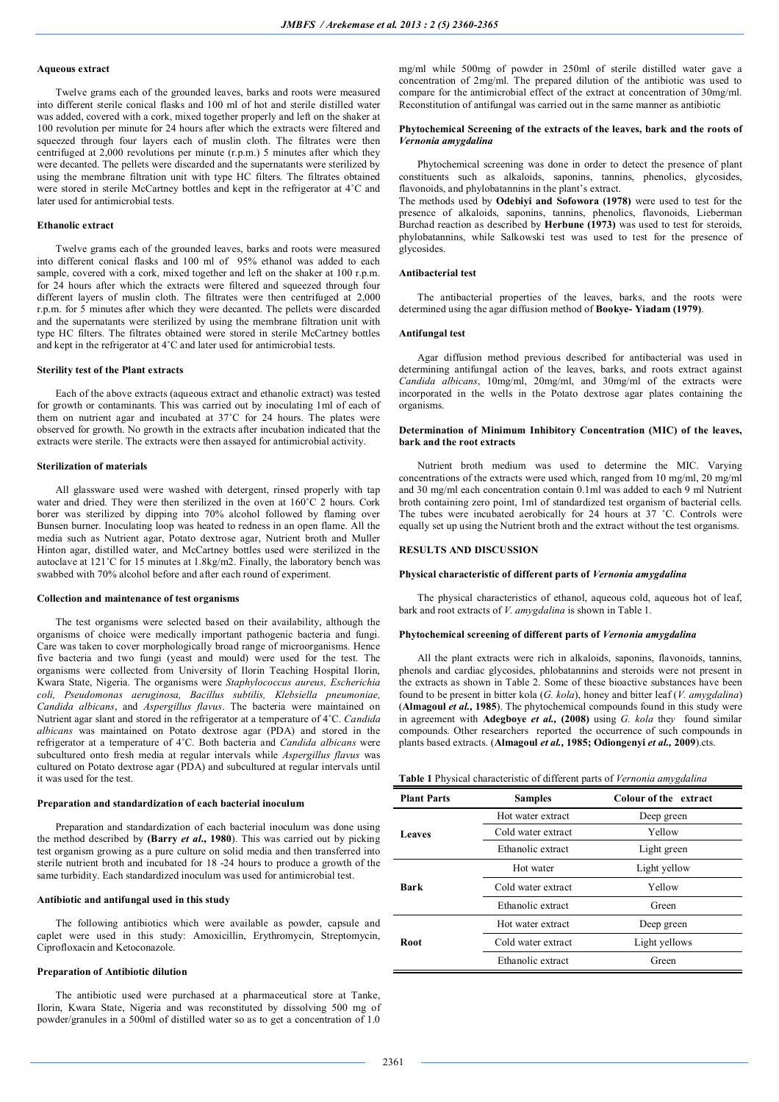### **Aqueous extract**

Twelve grams each of the grounded leaves, barks and roots were measured into different sterile conical flasks and 100 ml of hot and sterile distilled water was added, covered with a cork, mixed together properly and left on the shaker at 100 revolution per minute for 24 hours after which the extracts were filtered and squeezed through four layers each of muslin cloth. The filtrates were then centrifuged at 2,000 revolutions per minute (r.p.m.) 5 minutes after which they were decanted. The pellets were discarded and the supernatants were sterilized by using the membrane filtration unit with type HC filters. The filtrates obtained were stored in sterile McCartney bottles and kept in the refrigerator at 4˚C and later used for antimicrobial tests.

## **Ethanolic extract**

Twelve grams each of the grounded leaves, barks and roots were measured into different conical flasks and 100 ml of 95% ethanol was added to each sample, covered with a cork, mixed together and left on the shaker at 100 r.p.m. for 24 hours after which the extracts were filtered and squeezed through four different layers of muslin cloth. The filtrates were then centrifuged at 2,000 r.p.m. for 5 minutes after which they were decanted. The pellets were discarded and the supernatants were sterilized by using the membrane filtration unit with type HC filters. The filtrates obtained were stored in sterile McCartney bottles and kept in the refrigerator at 4˚C and later used for antimicrobial tests.

#### **Sterility test of the Plant extracts**

Each of the above extracts (aqueous extract and ethanolic extract) was tested for growth or contaminants. This was carried out by inoculating 1ml of each of them on nutrient agar and incubated at 37˚C for 24 hours. The plates were observed for growth. No growth in the extracts after incubation indicated that the extracts were sterile. The extracts were then assayed for antimicrobial activity.

### **Sterilization of materials**

All glassware used were washed with detergent, rinsed properly with tap water and dried. They were then sterilized in the oven at 160˚C 2 hours. Cork borer was sterilized by dipping into 70% alcohol followed by flaming over Bunsen burner. Inoculating loop was heated to redness in an open flame. All the media such as Nutrient agar, Potato dextrose agar, Nutrient broth and Muller Hinton agar, distilled water, and McCartney bottles used were sterilized in the autoclave at 121˚C for 15 minutes at 1.8kg/m2. Finally, the laboratory bench was swabbed with 70% alcohol before and after each round of experiment.

#### **Collection and maintenance of test organisms**

The test organisms were selected based on their availability, although the organisms of choice were medically important pathogenic bacteria and fungi. Care was taken to cover morphologically broad range of microorganisms. Hence five bacteria and two fungi (yeast and mould) were used for the test. The organisms were collected from University of Ilorin Teaching Hospital Ilorin, Kwara State, Nigeria. The organisms were *Staphylococcus aureus, Escherichia coli, Pseudomonas aeruginosa, Bacillus subtilis, Klebsiella pneumoniae, Candida albicans*, and *Aspergillus flavus*. The bacteria were maintained on Nutrient agar slant and stored in the refrigerator at a temperature of 4˚C. *Candida albicans* was maintained on Potato dextrose agar (PDA) and stored in the refrigerator at a temperature of 4˚C. Both bacteria and *Candida albicans* were subcultured onto fresh media at regular intervals while *Aspergillus flavus* was cultured on Potato dextrose agar (PDA) and subcultured at regular intervals until it was used for the test.

#### **Preparation and standardization of each bacterial inoculum**

Preparation and standardization of each bacterial inoculum was done using the method described by **(Barry** *et al***., 1980**). This was carried out by picking test organism growing as a pure culture on solid media and then transferred into sterile nutrient broth and incubated for 18 -24 hours to produce a growth of the same turbidity. Each standardized inoculum was used for antimicrobial test.

### **Antibiotic and antifungal used in this study**

The following antibiotics which were available as powder, capsule and caplet were used in this study: Amoxicillin, Erythromycin, Streptomycin, Ciprofloxacin and Ketoconazole.

#### **Preparation of Antibiotic dilution**

The antibiotic used were purchased at a pharmaceutical store at Tanke, Ilorin, Kwara State, Nigeria and was reconstituted by dissolving 500 mg of powder/granules in a 500ml of distilled water so as to get a concentration of 1.0

mg/ml while 500mg of powder in 250ml of sterile distilled water gave a concentration of 2mg/ml. The prepared dilution of the antibiotic was used to compare for the antimicrobial effect of the extract at concentration of 30mg/ml. Reconstitution of antifungal was carried out in the same manner as antibiotic

#### **Phytochemical Screening of the extracts of the leaves, bark and the roots of**  *Vernonia amygdalina*

Phytochemical screening was done in order to detect the presence of plant constituents such as alkaloids, saponins, tannins, phenolics, glycosides, flavonoids, and phylobatannins in the plant's extract.

The methods used by **Odebiyi and Sofowora (1978)** were used to test for the presence of alkaloids, saponins, tannins, phenolics, flavonoids, Lieberman Burchad reaction as described by **Herbune (1973)** was used to test for steroids, phylobatannins, while Salkowski test was used to test for the presence of glycosides.

### **Antibacterial test**

The antibacterial properties of the leaves, barks, and the roots were determined using the agar diffusion method of **Bookye- Yiadam (1979)**.

#### **Antifungal test**

Agar diffusion method previous described for antibacterial was used in determining antifungal action of the leaves, barks, and roots extract against *Candida albicans*, 10mg/ml, 20mg/ml, and 30mg/ml of the extracts were incorporated in the wells in the Potato dextrose agar plates containing the organisms.

#### **Determination of Minimum Inhibitory Concentration (MIC) of the leaves, bark and the root extracts**

Nutrient broth medium was used to determine the MIC. Varying concentrations of the extracts were used which, ranged from 10 mg/ml, 20 mg/ml and 30 mg/ml each concentration contain 0.1ml was added to each 9 ml Nutrient broth containing zero point, 1ml of standardized test organism of bacterial cells. The tubes were incubated aerobically for 24 hours at 37 ˚C. Controls were equally set up using the Nutrient broth and the extract without the test organisms.

## **RESULTS AND DISCUSSION**

#### **Physical characteristic of different parts of** *Vernonia amygdalina*

The physical characteristics of ethanol, aqueous cold, aqueous hot of leaf, bark and root extracts of *V. amygdalina* is shown in Table 1*.*

### **Phytochemical screening of different parts of** *Vernonia amygdalina*

All the plant extracts were rich in alkaloids, saponins, flavonoids, tannins, phenols and cardiac glycosides, phlobatannins and steroids were not present in the extracts as shown in Table 2. Some of these bioactive substances have been found to be present in bitter kola (*G. kola*), honey and bitter leaf (*V. amygdalina*) (**Almagoul** *et al.,* **1985**). The phytochemical compounds found in this study were in agreement with **Adegboye** *et al.,* **(2008)** using *G. kola* the*y* found similar compounds. Other researchers reported the occurrence of such compounds in plants based extracts. (**Almagoul** *et al.,* **1985; Odiongenyi** *et al.,* **2009**).cts.

|  | Table 1 Physical characteristic of different parts of Vernonia amygdalina |  |  |  |
|--|---------------------------------------------------------------------------|--|--|--|
|--|---------------------------------------------------------------------------|--|--|--|

| <b>Plant Parts</b> | <b>Samples</b>     | Colour of the extract |
|--------------------|--------------------|-----------------------|
|                    | Hot water extract  | Deep green            |
| <b>Leaves</b>      | Cold water extract | Yellow                |
|                    | Ethanolic extract  | Light green           |
|                    | Hot water          | Light yellow          |
| <b>Bark</b>        | Cold water extract | Yellow                |
|                    | Ethanolic extract  | Green                 |
|                    | Hot water extract  | Deep green            |
| Root               | Cold water extract | Light yellows         |
|                    | Ethanolic extract  | Green                 |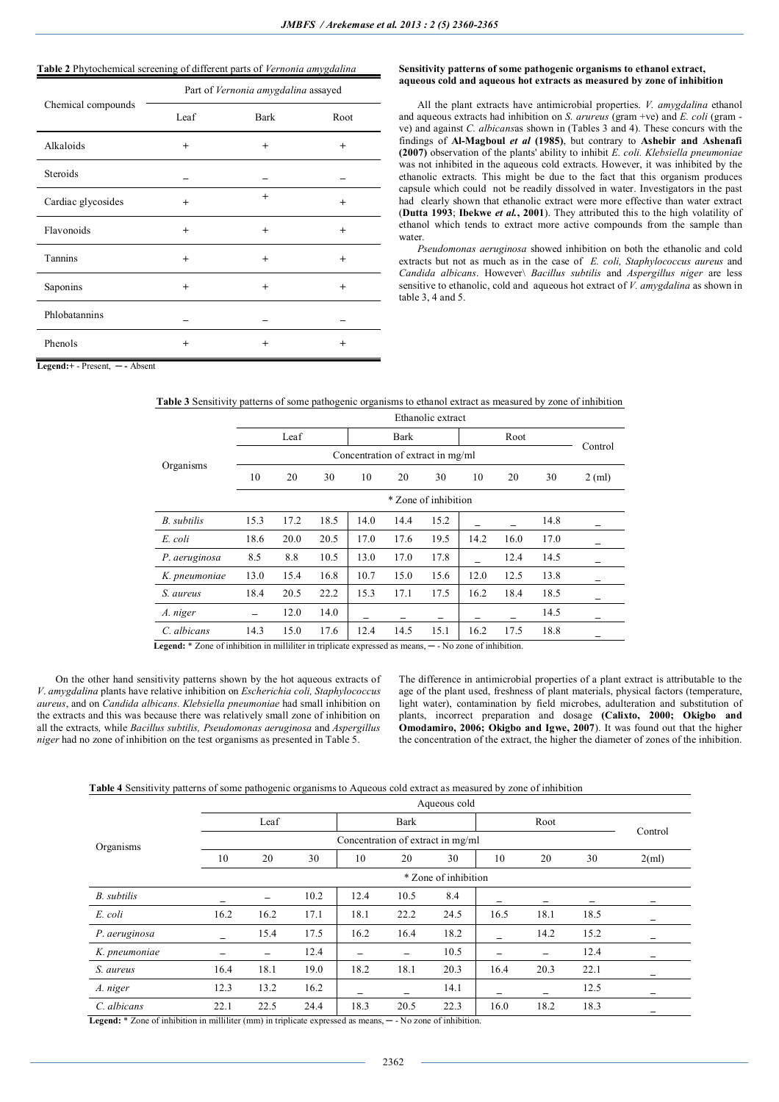# **Table 2** Phytochemical screening of different parts of *Vernonia amygdalina*

|                    |           |           | Part of Vernonia amygdalina assayed |  |  |
|--------------------|-----------|-----------|-------------------------------------|--|--|
| Chemical compounds | Leaf      | Bark      | Root                                |  |  |
| Alkaloids          | $^{+}$    | $^{+}$    | $\ddot{}$                           |  |  |
| <b>Steroids</b>    |           |           |                                     |  |  |
| Cardiac glycosides | $\ddot{}$ | $^{+}$    | $\ddot{}$                           |  |  |
| Flavonoids         | $\ddot{}$ | $\ddot{}$ | $^{+}$                              |  |  |
| Tannins            | $^{+}$    | $^{+}$    | $\ddot{}$                           |  |  |
| Saponins           | $\ddot{}$ | $\ddot{}$ | $\ddot{}$                           |  |  |
| Phlobatannins      |           |           |                                     |  |  |
| Phenols            | $\ddot{}$ | $\ddot{}$ | $\ddot{}$                           |  |  |

### **Sensitivity patterns of some pathogenic organisms to ethanol extract, aqueous cold and aqueous hot extracts as measured by zone of inhibition**

All the plant extracts have antimicrobial properties. *V. amygdalina* ethanol and aqueous extracts had inhibition on *S. arureus* (gram +ve) and *E. coli* (gram ve) and against *C. albicans*as shown in (Tables 3 and 4). These concurs with the findings of **Al-Magboul** *et al* **(1985)**, but contrary to **Ashebir and Ashenafi (2007)** observation of the plants' ability to inhibit *E. coli. Klebsiella pneumoniae*  was not inhibited in the aqueous cold extracts. However, it was inhibited by the ethanolic extracts. This might be due to the fact that this organism produces capsule which could not be readily dissolved in water. Investigators in the past had clearly shown that ethanolic extract were more effective than water extract (**Dutta 1993**; **Ibekwe** *et al.***, 2001**). They attributed this to the high volatility of ethanol which tends to extract more active compounds from the sample than water.

*Pseudomonas aeruginosa* showed inhibition on both the ethanolic and cold extracts but not as much as in the case of *E. coli, Staphylococcus aureus* and *Candida albicans*. However\ *Bacillus subtilis* and *Aspergillus niger* are less sensitive to ethanolic, cold and aqueous hot extract of *V. amygdalina* as shown in table 3, 4 and 5.

**Legend:+** - Present, **─ -** Absent

|                    |      | Ethanolic extract |      |                                   |      |                      |      |      |      |          |
|--------------------|------|-------------------|------|-----------------------------------|------|----------------------|------|------|------|----------|
|                    |      | Leaf              |      |                                   | Bark |                      |      | Root |      |          |
|                    |      |                   |      | Concentration of extract in mg/ml |      |                      |      |      |      | Control  |
| Organisms          | 10   | 20                | 30   | 10                                | 20   | 30                   | 10   | 20   | 30   | $2$ (ml) |
|                    |      |                   |      |                                   |      | * Zone of inhibition |      |      |      |          |
| <b>B.</b> subtilis | 15.3 | 17.2              | 18.5 | 14.0                              | 14.4 | 15.2                 |      |      | 14.8 |          |
| E. coli            | 18.6 | 20.0              | 20.5 | 17.0                              | 17.6 | 19.5                 | 14.2 | 16.0 | 17.0 |          |
| P. aeruginosa      | 8.5  | 8.8               | 10.5 | 13.0                              | 17.0 | 17.8                 |      | 12.4 | 14.5 |          |
| K. pneumoniae      | 13.0 | 15.4              | 16.8 | 10.7                              | 15.0 | 15.6                 | 12.0 | 12.5 | 13.8 |          |
| S. aureus          | 18.4 | 20.5              | 22.2 | 15.3                              | 17.1 | 17.5                 | 16.2 | 18.4 | 18.5 |          |
| A. niger           |      | 12.0              | 14.0 |                                   |      |                      |      |      | 14.5 |          |
| C. albicans        | 14.3 | 15.0              | 17.6 | 12.4                              | 14.5 | 15.1                 | 16.2 | 17.5 | 18.8 |          |

**Table 3** Sensitivity patterns of some pathogenic organisms to ethanol extract as measured by zone of inhibition

 **Legend:** \* Zone of inhibition in milliliter in triplicate expressed as means, **─** - No zone of inhibition.

On the other hand sensitivity patterns shown by the hot aqueous extracts of *V*. *amygdalina* plants have relative inhibition on *Escherichia coli, Staphylococcus aureus*, and on *Candida albicans. Klebsiella pneumoniae* had small inhibition on the extracts and this was because there was relatively small zone of inhibition on all the extracts*,* while *Bacillus subtilis, Pseudomonas aeruginosa* and *Aspergillus niger* had no zone of inhibition on the test organisms as presented in Table 5.

The difference in antimicrobial properties of a plant extract is attributable to the age of the plant used, freshness of plant materials, physical factors (temperature, light water), contamination by field microbes, adulteration and substitution of plants, incorrect preparation and dosage **(Calixto, 2000; Okigbo and Omodamiro, 2006; Okigbo and Igwe, 2007**). It was found out that the higher the concentration of the extract, the higher the diameter of zones of the inhibition.

 **Table 4** Sensitivity patterns of some pathogenic organisms to Aqueous cold extract as measured by zone of inhibition

|               |      |      |      |                                   |      | Aqueous cold         |      |      |      |          |
|---------------|------|------|------|-----------------------------------|------|----------------------|------|------|------|----------|
|               |      | Leaf |      |                                   | Bark |                      |      | Root |      | Control  |
| Organisms     |      |      |      | Concentration of extract in mg/ml |      |                      |      |      |      |          |
|               | 10   | 20   | 30   | 10                                | 20   | 30                   | 10   | 20   | 30   | $2$ (ml) |
|               |      |      |      |                                   |      | * Zone of inhibition |      |      |      |          |
| B. subtilis   |      | -    | 10.2 | 12.4                              | 10.5 | 8.4                  |      |      |      |          |
| E. coli       | 16.2 | 16.2 | 17.1 | 18.1                              | 22.2 | 24.5                 | 16.5 | 18.1 | 18.5 |          |
| P. aeruginosa | -    | 15.4 | 17.5 | 16.2                              | 16.4 | 18.2                 |      | 14.2 | 15.2 |          |
| K. pneumoniae |      | -    | 12.4 |                                   |      | 10.5                 |      |      | 12.4 |          |
| S. aureus     | 16.4 | 18.1 | 19.0 | 18.2                              | 18.1 | 20.3                 | 16.4 | 20.3 | 22.1 |          |
| A. niger      | 12.3 | 13.2 | 16.2 |                                   |      | 14.1                 |      |      | 12.5 |          |
| C. albicans   | 22.1 | 22.5 | 24.4 | 18.3                              | 20.5 | 22.3                 | 16.0 | 18.2 | 18.3 |          |

 **Legend:** \* Zone of inhibition in milliliter (mm) in triplicate expressed as means, **─** - No zone of inhibition.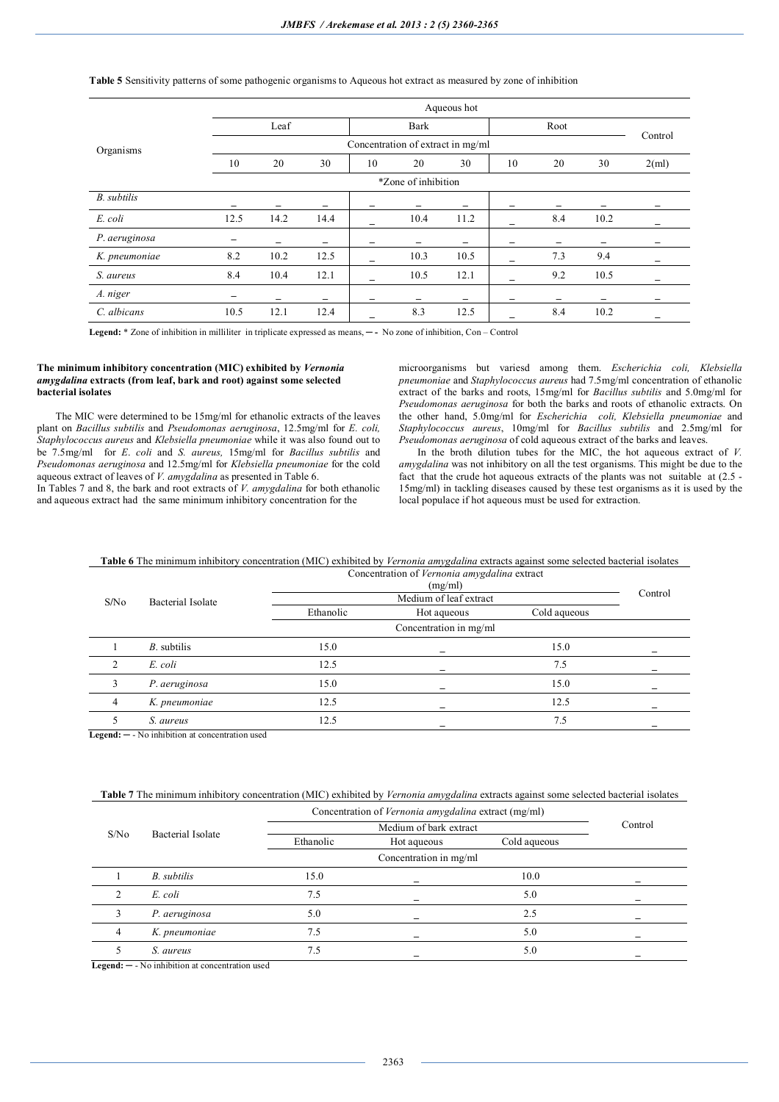|                    |      |      |      |    |                                   | Aqueous hot |    |      |      |          |
|--------------------|------|------|------|----|-----------------------------------|-------------|----|------|------|----------|
|                    |      | Leaf |      |    | Bark                              |             |    | Root |      | Control  |
| Organisms          |      |      |      |    | Concentration of extract in mg/ml |             |    |      |      |          |
|                    | 10   | 20   | 30   | 10 | 20                                | 30          | 10 | 20   | 30   | $2$ (ml) |
|                    |      |      |      |    | *Zone of inhibition               |             |    |      |      |          |
| <b>B.</b> subtilis |      |      |      |    |                                   |             |    |      |      |          |
| E. coli            | 12.5 | 14.2 | 14.4 |    | 10.4                              | 11.2        |    | 8.4  | 10.2 |          |
| P. aeruginosa      |      |      |      |    |                                   |             |    |      |      |          |
| K. pneumoniae      | 8.2  | 10.2 | 12.5 |    | 10.3                              | 10.5        |    | 7.3  | 9.4  |          |
| S. aureus          | 8.4  | 10.4 | 12.1 |    | 10.5                              | 12.1        |    | 9.2  | 10.5 |          |
| A. niger           |      |      | -    |    |                                   | -           |    |      |      |          |
| C. albicans        | 10.5 | 12.1 | 12.4 |    | 8.3                               | 12.5        |    | 8.4  | 10.2 |          |

## **Table 5** Sensitivity patterns of some pathogenic organisms to Aqueous hot extract as measured by zone of inhibition

 **Legend:** \* Zone of inhibition in milliliter in triplicate expressed as means, **─ -** No zone of inhibition, Con – Control

### **The minimum inhibitory concentration (MIC) exhibited by** *Vernonia amygdalina* **extracts (from leaf, bark and root) against some selected bacterial isolates**

The MIC were determined to be 15mg/ml for ethanolic extracts of the leaves plant on *Bacillus subtilis* and *Pseudomonas aeruginosa*, 12.5mg/ml for *E. coli, Staphylococcus aureus* and *Klebsiella pneumoniae* while it was also found out to be 7.5mg/ml for *E*. *coli* and *S. aureus,* 15mg/ml for *Bacillus subtilis* and *Pseudomonas aeruginosa* and 12.5mg/ml for *Klebsiella pneumoniae* for the cold aqueous extract of leaves of *V. amygdalina* as presented in Table 6.

In Tables 7 and 8, the bark and root extracts of *V. amygdalina* for both ethanolic and aqueous extract had the same minimum inhibitory concentration for the

microorganisms but variesd among them. *Escherichia coli, Klebsiella pneumoniae* and *Staphylococcus aureus* had 7.5mg/ml concentration of ethanolic extract of the barks and roots, 15mg/ml for *Bacillus subtilis* and 5.0mg/ml for *Pseudomonas aeruginosa* for both the barks and roots of ethanolic extracts. On the other hand, 5.0mg/ml for *Escherichia coli, Klebsiella pneumoniae* and *Staphylococcus aureus*, 10mg/ml for *Bacillus subtilis* and 2.5mg/ml for *Pseudomonas aeruginosa* of cold aqueous extract of the barks and leaves.

In the broth dilution tubes for the MIC, the hot aqueous extract of *V. amygdalina* was not inhibitory on all the test organisms. This might be due to the fact that the crude hot aqueous extracts of the plants was not suitable at (2.5 - 15mg/ml) in tackling diseases caused by these test organisms as it is used by the local populace if hot aqueous must be used for extraction.

**Table 6** The minimum inhibitory concentration (MIC) exhibited by *Vernonia amygdalina* extracts against some selected bacterial isolates Concentration of *Vernonia amygdalina* extract

|                   |           | (mg/ml)                |              |         |
|-------------------|-----------|------------------------|--------------|---------|
| Bacterial Isolate |           | Medium of leaf extract |              | Control |
|                   | Ethanolic | Hot aqueous            | Cold aqueous |         |
|                   |           | Concentration in mg/ml |              |         |
| $B$ . subtilis    | 15.0      |                        | 15.0         |         |
| E. coli           | 12.5      |                        | 7.5          |         |
| P. aeruginosa     | 15.0      |                        | 15.0         |         |
| K. pneumoniae     | 12.5      |                        | 12.5         |         |
| S. aureus         | 12.5      |                        | 7.5          |         |
|                   |           |                        |              |         |

**Legend: ─** - No inhibition at concentration used

## **Table 7** The minimum inhibitory concentration (MIC) exhibited by *Vernonia amygdalina* extracts against some selected bacterial isolates

|                  |                   | Concentration of Vernonia amygdalina extract (mg/ml) |                        |              |         |
|------------------|-------------------|------------------------------------------------------|------------------------|--------------|---------|
| S/N <sub>0</sub> | Bacterial Isolate |                                                      | Medium of bark extract |              | Control |
|                  |                   | Ethanolic                                            | Hot aqueous            | Cold aqueous |         |
|                  |                   |                                                      | Concentration in mg/ml |              |         |
|                  | B. subtilis       | 15.0                                                 |                        | 10.0         |         |
| ↑                | E. coli           | 7.5                                                  |                        | 5.0          |         |
|                  | P. aeruginosa     | 5.0                                                  |                        | 2.5          |         |
|                  | K. pneumoniae     | 7.5                                                  |                        | 5.0          |         |
|                  | S. aureus         | 7.5                                                  |                        | 5.0          |         |

 **Legend: ─** - No inhibition at concentration used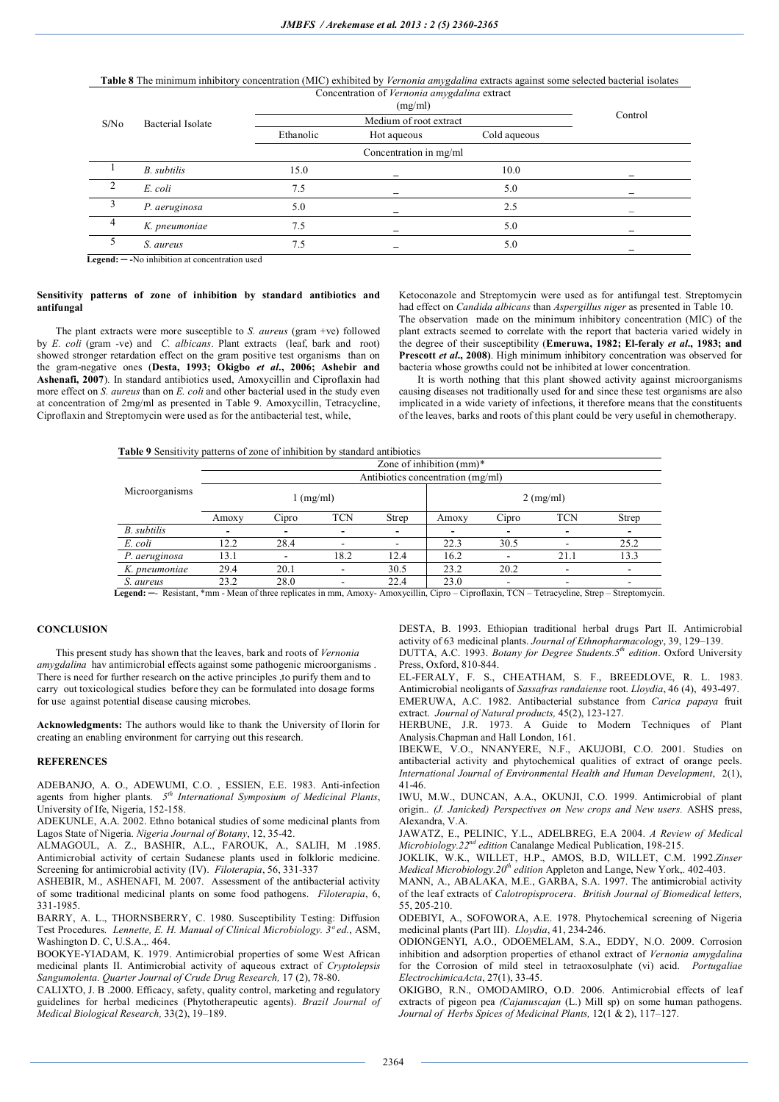# **Table 8** The minimum inhibitory concentration (MIC) exhibited by *Vernonia amygdalina* extracts against some selected bacterial isolates

|                  |                          | Concentration of Vernonia amygdalina extract |                        |              |         |  |
|------------------|--------------------------|----------------------------------------------|------------------------|--------------|---------|--|
| S/N <sub>0</sub> | <b>Bacterial Isolate</b> |                                              | Medium of root extract |              | Control |  |
|                  |                          | Ethanolic                                    | Hot aqueous            | Cold aqueous |         |  |
|                  |                          |                                              | Concentration in mg/ml |              |         |  |
|                  | B. subtilis              | 15.0                                         |                        | 10.0         |         |  |
|                  | E. coli                  | 7.5                                          |                        | 5.0          |         |  |
|                  | P. aeruginosa            | 5.0                                          |                        | 2.5          |         |  |
| 4                | K. pneumoniae            | 7.5                                          |                        | 5.0          |         |  |
|                  | S. aureus                | 7.5                                          |                        | 5.0          |         |  |

**Legend: ─ -**No inhibition at concentration used

### **Sensitivity patterns of zone of inhibition by standard antibiotics and antifungal**

The plant extracts were more susceptible to *S. aureus* (gram +ve) followed by *E. coli* (gram -ve) and *C. albicans*. Plant extracts (leaf, bark and root) showed stronger retardation effect on the gram positive test organisms than on the gram-negative ones (**Desta, 1993; Okigbo** *et al***., 2006; Ashebir and Ashenafi, 2007**). In standard antibiotics used, Amoxycillin and Ciproflaxin had more effect on *S. aureus* than on *E. coli* and other bacterial used in the study even at concentration of 2mg/ml as presented in Table 9. Amoxycillin, Tetracycline, Ciproflaxin and Streptomycin were used as for the antibacterial test, while,

Ketoconazole and Streptomycin were used as for antifungal test. Streptomycin had effect on *Candida albicans* than *Aspergillus niger* as presented in Table 10. The observation made on the minimum inhibitory concentration (MIC) of the plant extracts seemed to correlate with the report that bacteria varied widely in the degree of their susceptibility (**Emeruwa, 1982; El-feraly** *et al***., 1983; and Prescott** *et al***., 2008)**. High minimum inhibitory concentration was observed for bacteria whose growths could not be inhibited at lower concentration.

It is worth nothing that this plant showed activity against microorganisms causing diseases not traditionally used for and since these test organisms are also implicated in a wide variety of infections, it therefore means that the constituents of the leaves, barks and roots of this plant could be very useful in chemotherapy.

|  | <b>Table 9</b> Sensitivity patterns of zone of inhibition by standard antibiotics |  |
|--|-----------------------------------------------------------------------------------|--|
|--|-----------------------------------------------------------------------------------|--|

|                    |       |       |                   |       | Zone of inhibition $(mm)^*$       |       |                     |       |
|--------------------|-------|-------|-------------------|-------|-----------------------------------|-------|---------------------|-------|
|                    |       |       |                   |       | Antibiotics concentration (mg/ml) |       |                     |       |
| Microorganisms     |       |       | $\lfloor$ (mg/ml) |       |                                   |       | $2 \text{ (mg/ml)}$ |       |
|                    | Amoxy | Cipro | <b>TCN</b>        | Strep | Amoxy                             | Cipro | <b>TCN</b>          | Strep |
| <b>B.</b> subtilis | -     |       | -                 | -     |                                   |       | -                   |       |
| E. coli            | 12.2  | 28.4  |                   |       | 22.3                              | 30.5  |                     | 25.2  |
| P. aeruginosa      | 13.1  |       | 18.2              | 12.4  | 16.2                              |       | 21.1                | 13.3  |
| K. pneumoniae      | 29.4  | 20.1  |                   | 30.5  | 23.2                              | 20.2  |                     |       |
| S. aureus          | 23.2  | 28.0  |                   | 22.4  | 23.0                              | -     | -                   | ۰     |

**Legend: ─**- Resistant, \*mm - Mean of three replicates in mm, Amoxy- Amoxycillin, Cipro – Ciproflaxin, TCN – Tetracycline, Strep – Streptomycin.

## **CONCLUSION**

This present study has shown that the leaves, bark and roots of *Vernonia amygdalina* hav antimicrobial effects against some pathogenic microorganisms . There is need for further research on the active principles , to purify them and to carry out toxicological studies before they can be formulated into dosage forms for use against potential disease causing microbes.

**Acknowledgments:** The authors would like to thank the University of Ilorin for creating an enabling environment for carrying out this research.

#### **REFERENCES**

ADEBANJO, A. O., ADEWUMI, C.O. , ESSIEN, E.E. 1983. Anti-infection agents from higher plants. *5 th International Symposium of Medicinal Plants*, University of Ife, Nigeria, 152-158.

ADEKUNLE, A.A. 2002. Ethno botanical studies of some medicinal plants from Lagos State of Nigeria. *Nigeria Journal of Botany*, 12, 35-42.

ALMAGOUL, A. Z., BASHIR, A.L., FAROUK, A., SALIH, M .1985. Antimicrobial activity of certain Sudanese plants used in folkloric medicine. Screening for antimicrobial activity (IV). *Filoterapia*, 56, 331-337

ASHEBIR, M., ASHENAFI, M. 2007. Assessment of the antibacterial activity of some traditional medicinal plants on some food pathogens. *Filoterapia*, 6, 331-1985.

BARRY, A. L., THORNSBERRY, C. 1980. Susceptibility Testing: Diffusion Test Procedures. *Lennette, E. H. Manual of Clinical Microbiology. 3ª ed.*, ASM, Washington D. C, U.S.A.,. 464.

BOOKYE-YIADAM, K. 1979. Antimicrobial properties of some West African medicinal plants II. Antimicrobial activity of aqueous extract of *Cryptolepsis Sangumolenta. Quarter Journal of Crude Drug Research,* 17 (2), 78-80.

CALIXTO, J. B .2000. Efficacy, safety, quality control, marketing and regulatory guidelines for herbal medicines (Phytotherapeutic agents). *Brazil Journal of Medical Biological Research,* 33(2), 19–189.

DESTA, B. 1993. Ethiopian traditional herbal drugs Part II. Antimicrobial activity of 63 medicinal plants. *Journal of Ethnopharmacology*, 39, 129–139. DUTTA, A.C. 1993. *Botany for Degree Students.5th edition*. Oxford University Press, Oxford, 810-844.

EL-FERALY, F. S., CHEATHAM, S. F., BREEDLOVE, R. L. 1983. Antimicrobial neoligants of *Sassafras randaiense* root. *Lloydia*, 46 (4), 493-497. EMERUWA, A.C. 1982. Antibacterial substance from *Carica papaya* fruit extract. *Journal of Natural products,* 45(2), 123-127.

HERBUNE, J.R. 1973. A Guide to Modern Techniques of Plant Analysis.Chapman and Hall London, 161.

IBEKWE, V.O., NNANYERE, N.F., AKUJOBI, C.O. 2001. Studies on antibacterial activity and phytochemical qualities of extract of orange peels. *International Journal of Environmental Health and Human Development*, 2(1), 41-46.

IWU, M.W., DUNCAN, A.A., OKUNJI, C.O. 1999. Antimicrobial of plant origin.. *(J. Janicked) Perspectives on New crops and New users.* ASHS press, Alexandra, V.A.

JAWATZ, E., PELINIC, Y.L., ADELBREG, E.A 2004. *A Review of Medical Microbiology.22nd edition* Canalange Medical Publication, 198-215.

JOKLIK, W.K., WILLET, H.P., AMOS, B.D, WILLET, C.M. 1992.*Zinser Medical Microbiology.20th edition* Appleton and Lange, New York,. 402-403.

MANN, A., ABALAKA, M.E., GARBA, S.A. 1997. The antimicrobial activity of the leaf extracts of *Calotropisprocera*. *British Journal of Biomedical letters,*  55, 205-210.

ODEBIYI, A., SOFOWORA, A.E. 1978. Phytochemical screening of Nigeria medicinal plants (Part III). *Lloydia*, 41, 234-246.

ODIONGENYI, A.O., ODOEMELAM, S.A., EDDY, N.O. 2009. Corrosion inhibition and adsorption properties of ethanol extract of *Vernonia amygdalina*  for the Corrosion of mild steel in tetraoxosulphate (vi) acid. *Portugaliae ElectrochimicaActa*, 27(1), 33-45.

OKIGBO, R.N., OMODAMIRO, O.D. 2006. Antimicrobial effects of leaf extracts of pigeon pea *(Cajanuscajan* (L.) Mill sp) on some human pathogens. *Journal of Herbs Spices of Medicinal Plants,* 12(1 & 2), 117–127.